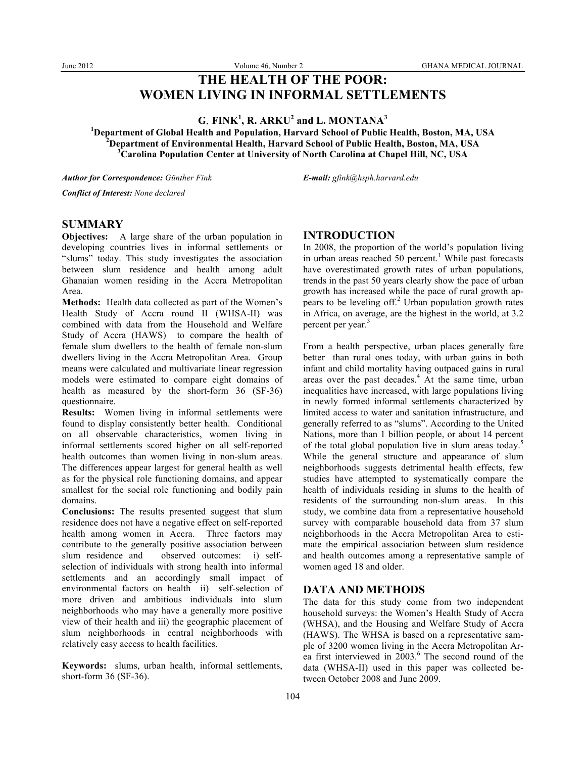# **THE HEALTH OF THE POOR: WOMEN LIVING IN INFORMAL SETTLEMENTS**

 $G$ . **FINK<sup>1</sup>, R. ARKU<sup>2</sup> and L. MONTANA<sup>3</sup>** 

**1 Department of Global Health and Population, Harvard School of Public Health, Boston, MA, USA <sup>2</sup> Department of Environmental Health, Harvard School of Public Health, Boston, MA, USA <sup>3</sup> Carolina Population Center at University of North Carolina at Chapel Hill, NC, USA**

*Author for Correspondence: Günther Fink E-mail: gfink@hsph.harvard.edu*

*Conflict of Interest: None declared*

#### **SUMMARY**

**Objectives:** A large share of the urban population in developing countries lives in informal settlements or "slums" today. This study investigates the association between slum residence and health among adult Ghanaian women residing in the Accra Metropolitan Area.

**Methods:** Health data collected as part of the Women's Health Study of Accra round II (WHSA-II) was combined with data from the Household and Welfare Study of Accra (HAWS) to compare the health of female slum dwellers to the health of female non-slum dwellers living in the Accra Metropolitan Area. Group means were calculated and multivariate linear regression models were estimated to compare eight domains of health as measured by the short-form 36 (SF-36) questionnaire.

**Results:** Women living in informal settlements were found to display consistently better health. Conditional on all observable characteristics, women living in informal settlements scored higher on all self-reported health outcomes than women living in non-slum areas. The differences appear largest for general health as well as for the physical role functioning domains, and appear smallest for the social role functioning and bodily pain domains.

**Conclusions:** The results presented suggest that slum residence does not have a negative effect on self-reported health among women in Accra. Three factors may contribute to the generally positive association between slum residence and observed outcomes: i) selfselection of individuals with strong health into informal settlements and an accordingly small impact of environmental factors on health ii) self-selection of more driven and ambitious individuals into slum neighborhoods who may have a generally more positive view of their health and iii) the geographic placement of slum neighborhoods in central neighborhoods with relatively easy access to health facilities.

**Keywords:** slums, urban health, informal settlements, short-form 36 (SF-36).

#### **INTRODUCTION**

In 2008, the proportion of the world's population living in urban areas reached  $50$  percent.<sup>1</sup> While past forecasts have overestimated growth rates of urban populations, trends in the past 50 years clearly show the pace of urban growth has increased while the pace of rural growth appears to be leveling off. $2$  Urban population growth rates in Africa, on average, are the highest in the world, at 3.2 percent per year.<sup>3</sup>

From a health perspective, urban places generally fare better than rural ones today, with urban gains in both infant and child mortality having outpaced gains in rural areas over the past decades.<sup>4</sup> At the same time, urban inequalities have increased, with large populations living in newly formed informal settlements characterized by limited access to water and sanitation infrastructure, and generally referred to as "slums". According to the United Nations, more than 1 billion people, or about 14 percent of the total global population live in slum areas today.<sup>5</sup> While the general structure and appearance of slum neighborhoods suggests detrimental health effects, few studies have attempted to systematically compare the health of individuals residing in slums to the health of residents of the surrounding non-slum areas. In this study, we combine data from a representative household survey with comparable household data from 37 slum neighborhoods in the Accra Metropolitan Area to estimate the empirical association between slum residence and health outcomes among a representative sample of women aged 18 and older.

## **DATA AND METHODS**

The data for this study come from two independent household surveys: the Women's Health Study of Accra (WHSA), and the Housing and Welfare Study of Accra (HAWS). The WHSA is based on a representative sample of 3200 women living in the Accra Metropolitan Area first interviewed in 2003.<sup>6</sup> The second round of the data (WHSA-II) used in this paper was collected between October 2008 and June 2009.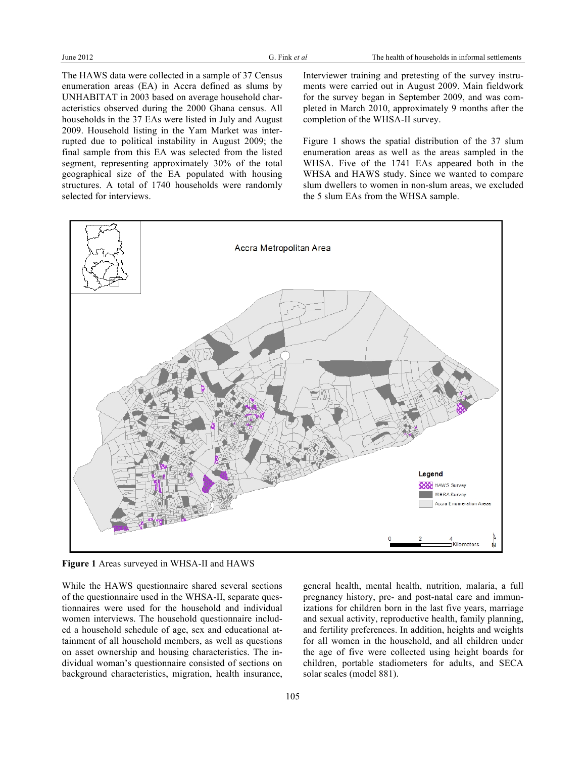The HAWS data were collected in a sample of 37 Census enumeration areas (EA) in Accra defined as slums by UNHABITAT in 2003 based on average household characteristics observed during the 2000 Ghana census. All households in the 37 EAs were listed in July and August 2009. Household listing in the Yam Market was interrupted due to political instability in August 2009; the final sample from this EA was selected from the listed segment, representing approximately 30% of the total geographical size of the EA populated with housing structures. A total of 1740 households were randomly selected for interviews.

Interviewer training and pretesting of the survey instruments were carried out in August 2009. Main fieldwork for the survey began in September 2009, and was completed in March 2010, approximately 9 months after the completion of the WHSA-II survey.

Figure 1 shows the spatial distribution of the 37 slum enumeration areas as well as the areas sampled in the WHSA. Five of the 1741 EAs appeared both in the WHSA and HAWS study. Since we wanted to compare slum dwellers to women in non-slum areas, we excluded the 5 slum EAs from the WHSA sample.



**Figure 1** Areas surveyed in WHSA-II and HAWS

While the HAWS questionnaire shared several sections of the questionnaire used in the WHSA-II, separate questionnaires were used for the household and individual women interviews. The household questionnaire included a household schedule of age, sex and educational attainment of all household members, as well as questions on asset ownership and housing characteristics. The individual woman's questionnaire consisted of sections on background characteristics, migration, health insurance,

general health, mental health, nutrition, malaria, a full pregnancy history, pre- and post-natal care and immunizations for children born in the last five years, marriage and sexual activity, reproductive health, family planning, and fertility preferences. In addition, heights and weights for all women in the household, and all children under the age of five were collected using height boards for children, portable stadiometers for adults, and SECA solar scales (model 881).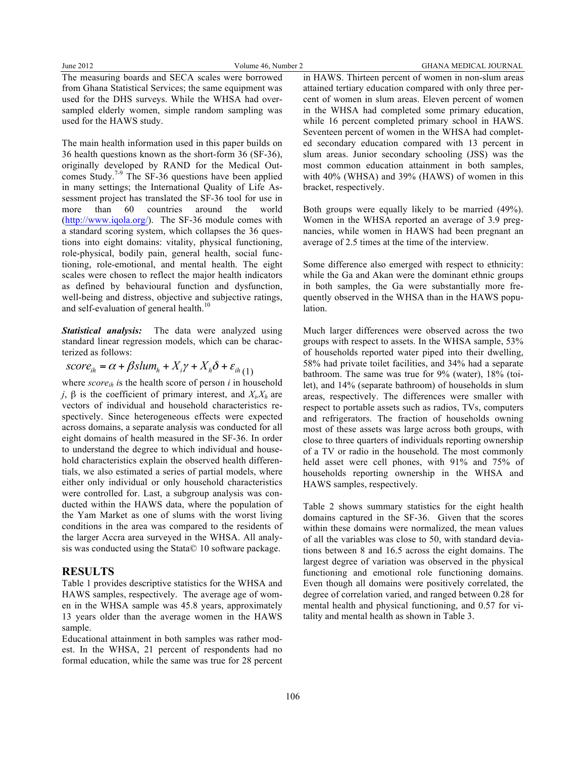The measuring boards and SECA scales were borrowed from Ghana Statistical Services; the same equipment was used for the DHS surveys. While the WHSA had oversampled elderly women, simple random sampling was used for the HAWS study.

The main health information used in this paper builds on 36 health questions known as the short-form 36 (SF-36), originally developed by RAND for the Medical Outcomes Study.<sup>7-9</sup> The SF-36 questions have been applied in many settings; the International Quality of Life Assessment project has translated the SF-36 tool for use in more than 60 countries around the world (http://www.iqola.org/). The SF-36 module comes with a standard scoring system, which collapses the 36 questions into eight domains: vitality, physical functioning, role-physical, bodily pain, general health, social functioning, role-emotional, and mental health. The eight scales were chosen to reflect the major health indicators as defined by behavioural function and dysfunction, well-being and distress, objective and subjective ratings, and self-evaluation of general health.<sup>10</sup>

*Statistical analysis:* The data were analyzed using standard linear regression models, which can be characterized as follows:

$$
score_{ih} = \alpha + \beta slum_h + X_i \gamma + X_h \delta + \varepsilon_{ih(1)}
$$

where  $score_{ih}$  is the health score of person *i* in household *j*, β is the coefficient of primary interest, and  $X_i$ ,  $X_h$  are vectors of individual and household characteristics respectively. Since heterogeneous effects were expected across domains, a separate analysis was conducted for all eight domains of health measured in the SF-36. In order to understand the degree to which individual and household characteristics explain the observed health differentials, we also estimated a series of partial models, where either only individual or only household characteristics were controlled for. Last, a subgroup analysis was conducted within the HAWS data, where the population of the Yam Market as one of slums with the worst living conditions in the area was compared to the residents of the larger Accra area surveyed in the WHSA. All analysis was conducted using the Stata© 10 software package.

### **RESULTS**

Table 1 provides descriptive statistics for the WHSA and HAWS samples, respectively. The average age of women in the WHSA sample was 45.8 years, approximately 13 years older than the average women in the HAWS sample.

Educational attainment in both samples was rather modest. In the WHSA, 21 percent of respondents had no formal education, while the same was true for 28 percent

in HAWS. Thirteen percent of women in non-slum areas attained tertiary education compared with only three percent of women in slum areas. Eleven percent of women in the WHSA had completed some primary education, while 16 percent completed primary school in HAWS. Seventeen percent of women in the WHSA had completed secondary education compared with 13 percent in slum areas. Junior secondary schooling (JSS) was the most common education attainment in both samples, with 40% (WHSA) and 39% (HAWS) of women in this bracket, respectively.

Both groups were equally likely to be married (49%). Women in the WHSA reported an average of 3.9 pregnancies, while women in HAWS had been pregnant an average of 2.5 times at the time of the interview.

Some difference also emerged with respect to ethnicity: while the Ga and Akan were the dominant ethnic groups in both samples, the Ga were substantially more frequently observed in the WHSA than in the HAWS population.

Much larger differences were observed across the two groups with respect to assets. In the WHSA sample, 53% of households reported water piped into their dwelling, 58% had private toilet facilities, and 34% had a separate bathroom. The same was true for 9% (water), 18% (toilet), and 14% (separate bathroom) of households in slum areas, respectively. The differences were smaller with respect to portable assets such as radios, TVs, computers and refrigerators. The fraction of households owning most of these assets was large across both groups, with close to three quarters of individuals reporting ownership of a TV or radio in the household. The most commonly held asset were cell phones, with 91% and 75% of households reporting ownership in the WHSA and HAWS samples, respectively.

Table 2 shows summary statistics for the eight health domains captured in the SF-36. Given that the scores within these domains were normalized, the mean values of all the variables was close to 50, with standard deviations between 8 and 16.5 across the eight domains. The largest degree of variation was observed in the physical functioning and emotional role functioning domains. Even though all domains were positively correlated, the degree of correlation varied, and ranged between 0.28 for mental health and physical functioning, and 0.57 for vitality and mental health as shown in Table 3.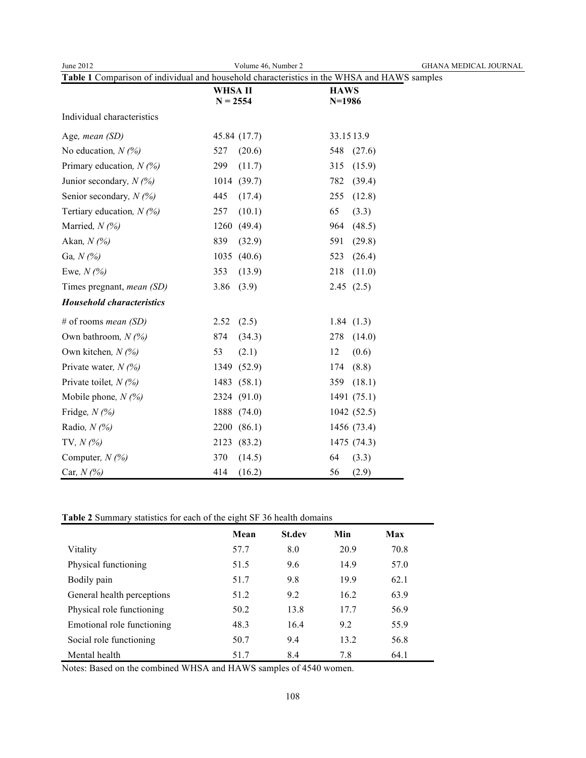| June 2012                                                                                   | Volume 46, Number 2 | <b>GHANA MEDICAL JOURNAL</b> |  |  |  |  |
|---------------------------------------------------------------------------------------------|---------------------|------------------------------|--|--|--|--|
| Table 1 Comparison of individual and household characteristics in the WHSA and HAWS samples |                     |                              |  |  |  |  |
|                                                                                             | WHSA II             | <b>HAWS</b>                  |  |  |  |  |
|                                                                                             | $N = 2554$          | $N=1986$                     |  |  |  |  |
| Individual characteristics                                                                  |                     |                              |  |  |  |  |
| Age, mean (SD)                                                                              | 45.84 (17.7)        | 33.1513.9                    |  |  |  |  |
| No education, $N(%$                                                                         | 527<br>(20.6)       | 548<br>(27.6)                |  |  |  |  |
| Primary education, $N$ (%)                                                                  | 299<br>(11.7)       | 315<br>(15.9)                |  |  |  |  |
| Junior secondary, $N(\%)$                                                                   | (39.7)<br>1014      | 782<br>(39.4)                |  |  |  |  |
| Senior secondary, $N$ (%)                                                                   | 445<br>(17.4)       | (12.8)<br>255                |  |  |  |  |
| Tertiary education, $N(\%)$                                                                 | 257<br>(10.1)       | 65<br>(3.3)                  |  |  |  |  |
| Married, $N$ (%)                                                                            | (49.4)<br>1260      | (48.5)<br>964                |  |  |  |  |
| Akan, $N$ (%)                                                                               | 839<br>(32.9)       | 591<br>(29.8)                |  |  |  |  |
| Ga, $N(%)$                                                                                  | 1035<br>(40.6)      | 523<br>(26.4)                |  |  |  |  |
| Ewe, $N(\%)$                                                                                | 353<br>(13.9)       | 218<br>(11.0)                |  |  |  |  |
| Times pregnant, <i>mean</i> (SD)                                                            | 3.86<br>(3.9)       | 2.45(2.5)                    |  |  |  |  |
| <b>Household characteristics</b>                                                            |                     |                              |  |  |  |  |
| # of rooms <i>mean</i> $(SD)$                                                               | (2.5)<br>2.52       | 1.84(1.3)                    |  |  |  |  |
| Own bathroom, $N$ (%)                                                                       | 874<br>(34.3)       | 278<br>(14.0)                |  |  |  |  |
| Own kitchen, $N$ (%)                                                                        | 53<br>(2.1)         | 12<br>(0.6)                  |  |  |  |  |
| Private water, $N(\%)$                                                                      | 1349<br>(52.9)      | (8.8)<br>174                 |  |  |  |  |
| Private toilet, $N(\%)$                                                                     | 1483<br>(58.1)      | (18.1)<br>359                |  |  |  |  |
| Mobile phone, $N(%$                                                                         | 2324<br>(91.0)      | 1491(75.1)                   |  |  |  |  |
| Fridge, $N$ (%)                                                                             | 1888<br>(74.0)      | 1042(52.5)                   |  |  |  |  |
| Radio, $N(\%)$                                                                              | 2200<br>(86.1)      | 1456 (73.4)                  |  |  |  |  |
| TV, $N$ (%)                                                                                 | 2123<br>(83.2)      | 1475 (74.3)                  |  |  |  |  |
| Computer, $N$ (%)                                                                           | 370<br>(14.5)       | 64<br>(3.3)                  |  |  |  |  |
| Car, $N$ (%)                                                                                | 414<br>(16.2)       | 56<br>(2.9)                  |  |  |  |  |

## **Table 2** Summary statistics for each of the eight SF 36 health domains

|                            | Mean | <b>St.dev</b> | Min  | Max  |
|----------------------------|------|---------------|------|------|
| Vitality                   | 57.7 | 8.0           | 20.9 | 70.8 |
| Physical functioning       | 51.5 | 9.6           | 14.9 | 57.0 |
| Bodily pain                | 51.7 | 9.8           | 19.9 | 62.1 |
| General health perceptions | 51.2 | 9.2           | 16.2 | 63.9 |
| Physical role functioning  | 50.2 | 13.8          | 17.7 | 56.9 |
| Emotional role functioning | 48.3 | 16.4          | 9.2  | 55.9 |
| Social role functioning    | 50.7 | 9.4           | 13.2 | 56.8 |
| Mental health              | 51.7 | 8.4           | 7.8  | 64.1 |

Notes: Based on the combined WHSA and HAWS samples of 4540 women.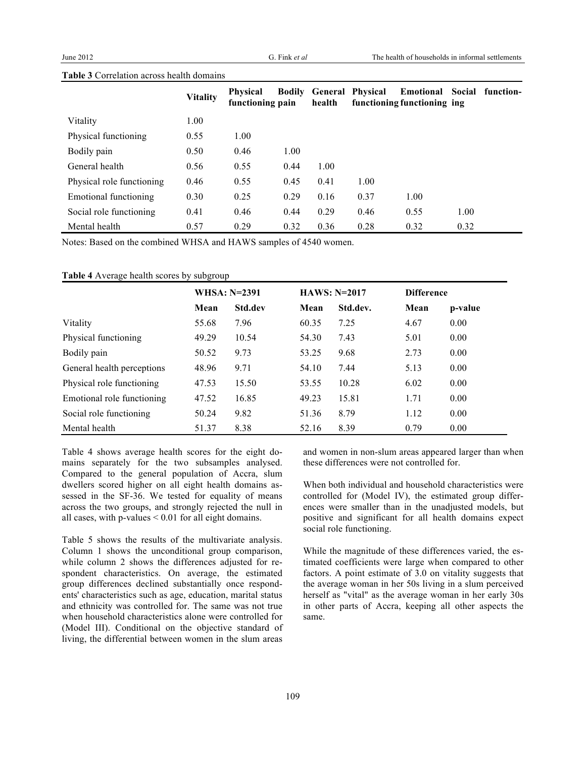#### **Table 3** Correlation across health domains

|                           | <b>Vitality</b> | <b>Physical</b><br>functioning pain |      | health | <b>Bodily General Physical</b> | Emotional<br>functioning functioning ing | Social | function- |
|---------------------------|-----------------|-------------------------------------|------|--------|--------------------------------|------------------------------------------|--------|-----------|
| Vitality                  | 1.00            |                                     |      |        |                                |                                          |        |           |
| Physical functioning      | 0.55            | 1.00                                |      |        |                                |                                          |        |           |
| Bodily pain               | 0.50            | 0.46                                | 1.00 |        |                                |                                          |        |           |
| General health            | 0.56            | 0.55                                | 0.44 | 1.00   |                                |                                          |        |           |
| Physical role functioning | 0.46            | 0.55                                | 0.45 | 0.41   | 1.00                           |                                          |        |           |
| Emotional functioning     | 0.30            | 0.25                                | 0.29 | 0.16   | 0.37                           | 1.00                                     |        |           |
| Social role functioning   | 0.41            | 0.46                                | 0.44 | 0.29   | 0.46                           | 0.55                                     | 1.00   |           |
| Mental health             | 0.57            | 0.29                                | 0.32 | 0.36   | 0.28                           | 0.32                                     | 0.32   |           |

Notes: Based on the combined WHSA and HAWS samples of 4540 women.

#### **Table 4** Average health scores by subgroup

|                            | <b>WHSA: N=2391</b> |         | $HAWS: N=2017$ |          | <b>Difference</b> |         |
|----------------------------|---------------------|---------|----------------|----------|-------------------|---------|
|                            | Mean                | Std.dev | Mean           | Std.dev. | Mean              | p-value |
| Vitality                   | 55.68               | 7.96    | 60.35          | 7.25     | 4.67              | 0.00    |
| Physical functioning       | 49.29               | 10.54   | 54.30          | 7.43     | 5.01              | 0.00    |
| Bodily pain                | 50.52               | 9.73    | 53.25          | 9.68     | 2.73              | 0.00    |
| General health perceptions | 48.96               | 9.71    | 54.10          | 7.44     | 5.13              | 0.00    |
| Physical role functioning  | 47.53               | 15.50   | 53.55          | 10.28    | 6.02              | 0.00    |
| Emotional role functioning | 47.52               | 16.85   | 49.23          | 15.81    | 1.71              | 0.00    |
| Social role functioning    | 50.24               | 9.82    | 51.36          | 8.79     | 1.12              | 0.00    |
| Mental health              | 51.37               | 8.38    | 52.16          | 8.39     | 0.79              | 0.00    |

Table 4 shows average health scores for the eight domains separately for the two subsamples analysed. Compared to the general population of Accra, slum dwellers scored higher on all eight health domains assessed in the SF-36. We tested for equality of means across the two groups, and strongly rejected the null in all cases, with  $p$ -values  $\leq 0.01$  for all eight domains.

Table 5 shows the results of the multivariate analysis. Column 1 shows the unconditional group comparison, while column 2 shows the differences adjusted for respondent characteristics. On average, the estimated group differences declined substantially once respondents' characteristics such as age, education, marital status and ethnicity was controlled for. The same was not true when household characteristics alone were controlled for (Model III). Conditional on the objective standard of living, the differential between women in the slum areas and women in non-slum areas appeared larger than when these differences were not controlled for.

When both individual and household characteristics were controlled for (Model IV), the estimated group differences were smaller than in the unadjusted models, but positive and significant for all health domains expect social role functioning.

While the magnitude of these differences varied, the estimated coefficients were large when compared to other factors. A point estimate of 3.0 on vitality suggests that the average woman in her 50s living in a slum perceived herself as "vital" as the average woman in her early 30s in other parts of Accra, keeping all other aspects the same.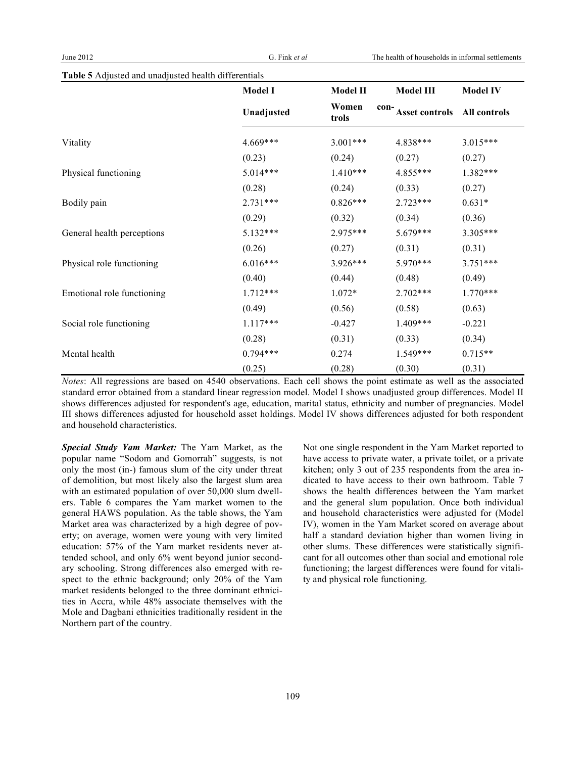| Table 5 Adjusted and unadjusted health differentials |
|------------------------------------------------------|
|------------------------------------------------------|

|                            | <b>Model I</b> | <b>Model II</b> | <b>Model III</b>   | <b>Model IV</b> |
|----------------------------|----------------|-----------------|--------------------|-----------------|
|                            | Unadjusted     | Women<br>trols  | con-Asset controls | All controls    |
| Vitality                   | 4.669***       | $3.001***$      | 4.838***           | 3.015***        |
|                            | (0.23)         | (0.24)          | (0.27)             | (0.27)          |
| Physical functioning       | $5.014***$     | $1.410***$      | 4.855***           | 1.382***        |
|                            | (0.28)         | (0.24)          | (0.33)             | (0.27)          |
| Bodily pain                | $2.731***$     | $0.826***$      | $2.723***$         | $0.631*$        |
|                            | (0.29)         | (0.32)          | (0.34)             | (0.36)          |
| General health perceptions | $5.132***$     | $2.975***$      | $5.679***$         | 3.305***        |
|                            | (0.26)         | (0.27)          | (0.31)             | (0.31)          |
| Physical role functioning  | $6.016***$     | $3.926***$      | 5.970***           | $3.751***$      |
|                            | (0.40)         | (0.44)          | (0.48)             | (0.49)          |
| Emotional role functioning | $1.712***$     | $1.072*$        | $2.702***$         | $1.770***$      |
|                            | (0.49)         | (0.56)          | (0.58)             | (0.63)          |
| Social role functioning    | $1.117***$     | $-0.427$        | $1.409***$         | $-0.221$        |
|                            | (0.28)         | (0.31)          | (0.33)             | (0.34)          |
| Mental health              | $0.794***$     | 0.274           | 1.549***           | $0.715**$       |
|                            | (0.25)         | (0.28)          | (0.30)             | (0.31)          |

*Notes*: All regressions are based on 4540 observations. Each cell shows the point estimate as well as the associated standard error obtained from a standard linear regression model. Model I shows unadjusted group differences. Model II shows differences adjusted for respondent's age, education, marital status, ethnicity and number of pregnancies. Model III shows differences adjusted for household asset holdings. Model IV shows differences adjusted for both respondent and household characteristics.

*Special Study Yam Market:* The Yam Market, as the popular name "Sodom and Gomorrah" suggests, is not only the most (in-) famous slum of the city under threat of demolition, but most likely also the largest slum area with an estimated population of over 50,000 slum dwellers. Table 6 compares the Yam market women to the general HAWS population. As the table shows, the Yam Market area was characterized by a high degree of poverty; on average, women were young with very limited education: 57% of the Yam market residents never attended school, and only 6% went beyond junior secondary schooling. Strong differences also emerged with respect to the ethnic background; only 20% of the Yam market residents belonged to the three dominant ethnicities in Accra, while 48% associate themselves with the Mole and Dagbani ethnicities traditionally resident in the Northern part of the country.

Not one single respondent in the Yam Market reported to have access to private water, a private toilet, or a private kitchen; only 3 out of 235 respondents from the area indicated to have access to their own bathroom. Table 7 shows the health differences between the Yam market and the general slum population. Once both individual and household characteristics were adjusted for (Model IV), women in the Yam Market scored on average about half a standard deviation higher than women living in other slums. These differences were statistically significant for all outcomes other than social and emotional role functioning; the largest differences were found for vitality and physical role functioning.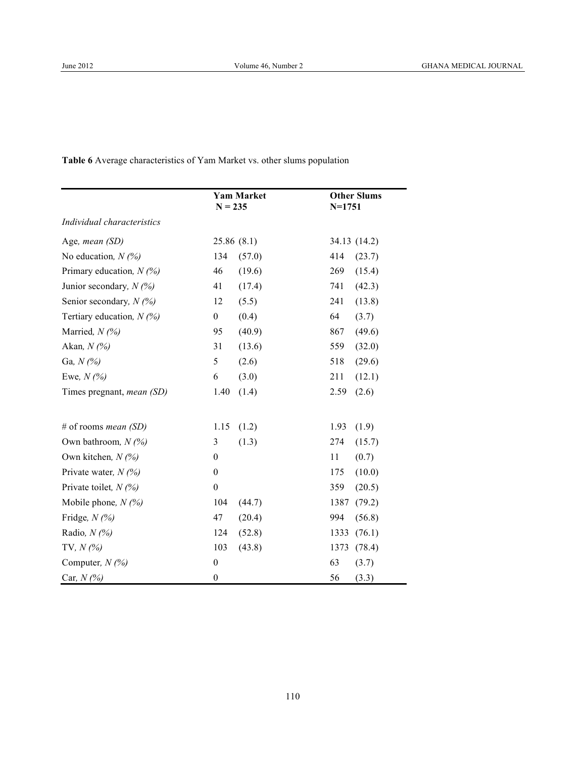**Table 6** Average characteristics of Yam Market vs. other slums population

|                                  | <b>Yam Market</b><br>$N = 235$ | <b>Other Slums</b><br>$N = 1751$ |
|----------------------------------|--------------------------------|----------------------------------|
| Individual characteristics       |                                |                                  |
| Age, mean (SD)                   | 25.86(8.1)                     | 34.13 (14.2)                     |
| No education, $N(%)$             | 134<br>(57.0)                  | 414<br>(23.7)                    |
| Primary education, $N$ (%)       | 46<br>(19.6)                   | 269<br>(15.4)                    |
| Junior secondary, $N$ (%)        | 41<br>(17.4)                   | 741<br>(42.3)                    |
| Senior secondary, $N(\%)$        | 12<br>(5.5)                    | 241<br>(13.8)                    |
| Tertiary education, $N$ (%)      | $\boldsymbol{0}$<br>(0.4)      | 64<br>(3.7)                      |
| Married, $N$ (%)                 | 95<br>(40.9)                   | 867<br>(49.6)                    |
| Akan, $N(%$                      | 31<br>(13.6)                   | 559<br>(32.0)                    |
| Ga, $N(%$                        | 5<br>(2.6)                     | 518<br>(29.6)                    |
| Ewe, $N(%$                       | 6<br>(3.0)                     | 211<br>(12.1)                    |
| Times pregnant, <i>mean</i> (SD) | 1.40<br>(1.4)                  | (2.6)<br>2.59                    |
| # of rooms <i>mean</i> $(SD)$    | 1.15<br>(1.2)                  | 1.93<br>(1.9)                    |
| Own bathroom, $N(%$              | 3<br>(1.3)                     | 274<br>(15.7)                    |
| Own kitchen, $N(%)$              | $\boldsymbol{0}$               | 11<br>(0.7)                      |
| Private water, $N$ (%)           | $\boldsymbol{0}$               | 175<br>(10.0)                    |
| Private toilet, $N(\%)$          | $\boldsymbol{0}$               | 359<br>(20.5)                    |
| Mobile phone, $N$ (%)            | 104<br>(44.7)                  | 1387<br>(79.2)                   |
| Fridge, $N$ (%)                  | 47<br>(20.4)                   | 994<br>(56.8)                    |
| Radio, $N(%$                     | 124<br>(52.8)                  | 1333<br>(76.1)                   |
| TV, $N(%)$                       | 103<br>(43.8)                  | 1373<br>(78.4)                   |
| Computer, $N$ (%)                | $\boldsymbol{0}$               | 63<br>(3.7)                      |
| Car, $N$ (%)                     | $\boldsymbol{0}$               | 56<br>(3.3)                      |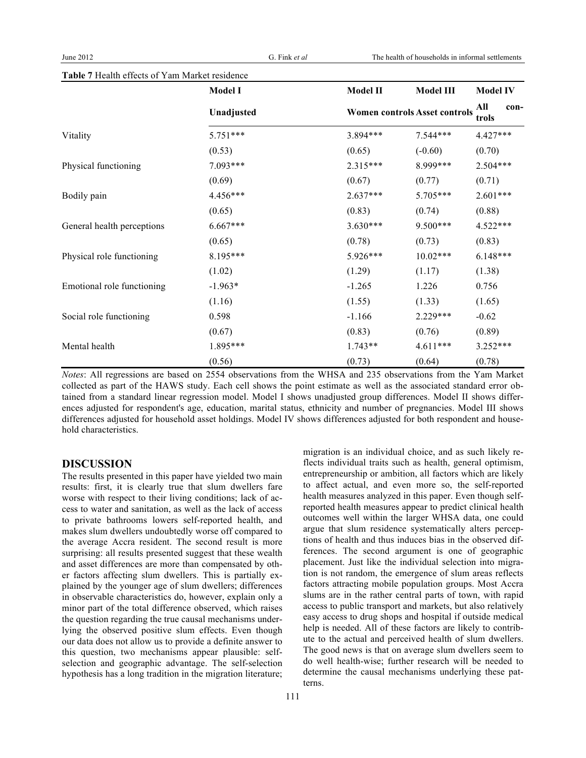|                            | <b>Model I</b> | <b>Model II</b>                      | <b>Model III</b> | <b>Model IV</b>      |
|----------------------------|----------------|--------------------------------------|------------------|----------------------|
|                            | Unadjusted     | <b>Women controls Asset controls</b> |                  | All<br>con-<br>trols |
| Vitality                   | $5.751***$     | 3.894 ***                            | $7.544***$       | 4.427***             |
|                            | (0.53)         | (0.65)                               | $(-0.60)$        | (0.70)               |
| Physical functioning       | 7.093***       | $2.315***$                           | 8.999***         | $2.504***$           |
|                            | (0.69)         | (0.67)                               | (0.77)           | (0.71)               |
| Bodily pain                | $4.456***$     | $2.637***$                           | $5.705***$       | $2.601***$           |
|                            | (0.65)         | (0.83)                               | (0.74)           | (0.88)               |
| General health perceptions | $6.667***$     | $3.630***$                           | $9.500***$       | $4.522***$           |
|                            | (0.65)         | (0.78)                               | (0.73)           | (0.83)               |
| Physical role functioning  | 8.195***       | $5.926***$                           | $10.02***$       | $6.148***$           |
|                            | (1.02)         | (1.29)                               | (1.17)           | (1.38)               |
| Emotional role functioning | $-1.963*$      | $-1.265$                             | 1.226            | 0.756                |
|                            | (1.16)         | (1.55)                               | (1.33)           | (1.65)               |
| Social role functioning    | 0.598          | $-1.166$                             | $2.229***$       | $-0.62$              |
|                            | (0.67)         | (0.83)                               | (0.76)           | (0.89)               |
| Mental health              | 1.895***       | $1.743**$                            | $4.611***$       | $3.252***$           |
|                            | (0.56)         | (0.73)                               | (0.64)           | (0.78)               |

**Table 7** Health effects of Yam Market residence

*Notes*: All regressions are based on 2554 observations from the WHSA and 235 observations from the Yam Market collected as part of the HAWS study. Each cell shows the point estimate as well as the associated standard error obtained from a standard linear regression model. Model I shows unadjusted group differences. Model II shows differences adjusted for respondent's age, education, marital status, ethnicity and number of pregnancies. Model III shows differences adjusted for household asset holdings. Model IV shows differences adjusted for both respondent and household characteristics.

#### **DISCUSSION**

The results presented in this paper have yielded two main results: first, it is clearly true that slum dwellers fare worse with respect to their living conditions; lack of access to water and sanitation, as well as the lack of access to private bathrooms lowers self-reported health, and makes slum dwellers undoubtedly worse off compared to the average Accra resident. The second result is more surprising: all results presented suggest that these wealth and asset differences are more than compensated by other factors affecting slum dwellers. This is partially explained by the younger age of slum dwellers; differences in observable characteristics do, however, explain only a minor part of the total difference observed, which raises the question regarding the true causal mechanisms underlying the observed positive slum effects. Even though our data does not allow us to provide a definite answer to this question, two mechanisms appear plausible: selfselection and geographic advantage. The self-selection hypothesis has a long tradition in the migration literature;

migration is an individual choice, and as such likely reflects individual traits such as health, general optimism, entrepreneurship or ambition, all factors which are likely to affect actual, and even more so, the self-reported health measures analyzed in this paper. Even though selfreported health measures appear to predict clinical health outcomes well within the larger WHSA data, one could argue that slum residence systematically alters perceptions of health and thus induces bias in the observed differences. The second argument is one of geographic placement. Just like the individual selection into migration is not random, the emergence of slum areas reflects factors attracting mobile population groups. Most Accra slums are in the rather central parts of town, with rapid access to public transport and markets, but also relatively easy access to drug shops and hospital if outside medical help is needed. All of these factors are likely to contribute to the actual and perceived health of slum dwellers. The good news is that on average slum dwellers seem to do well health-wise; further research will be needed to determine the causal mechanisms underlying these patterns.